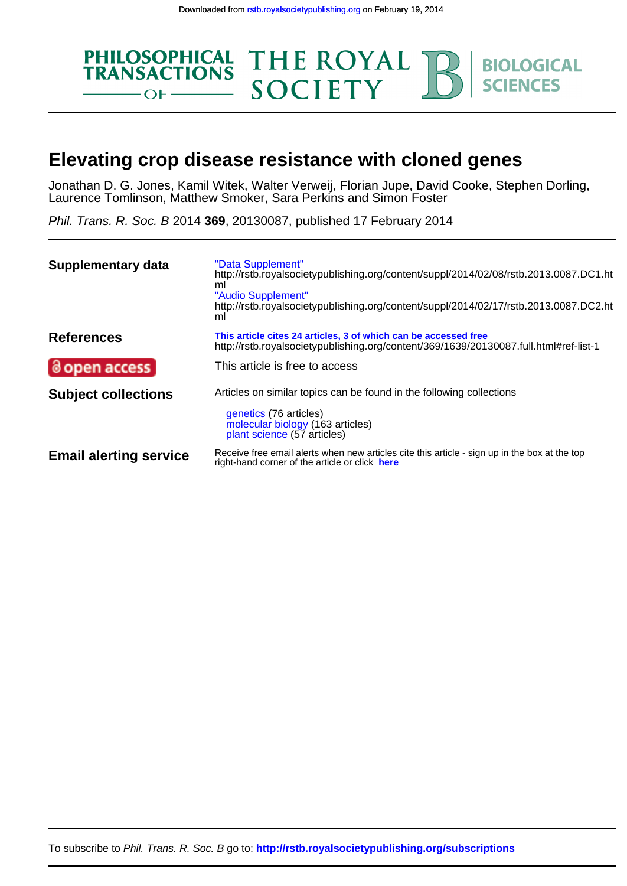

# **Elevating crop disease resistance with cloned genes**

Laurence Tomlinson, Matthew Smoker, Sara Perkins and Simon Foster Jonathan D. G. Jones, Kamil Witek, Walter Verweij, Florian Jupe, David Cooke, Stephen Dorling,

Phil. Trans. R. Soc. B 2014 **369**, 20130087, published 17 February 2014

| <b>Supplementary data</b>     | "Data Supplement"<br>http://rstb.royalsocietypublishing.org/content/suppl/2014/02/08/rstb.2013.0087.DC1.ht<br>ml<br>"Audio Supplement"<br>http://rstb.royalsocietypublishing.org/content/suppl/2014/02/17/rstb.2013.0087.DC2.ht<br>ml |  |
|-------------------------------|---------------------------------------------------------------------------------------------------------------------------------------------------------------------------------------------------------------------------------------|--|
| <b>References</b>             | This article cites 24 articles, 3 of which can be accessed free<br>http://rstb.royalsocietypublishing.org/content/369/1639/20130087.full.html#ref-list-1                                                                              |  |
| @ open access                 | This article is free to access                                                                                                                                                                                                        |  |
| <b>Subject collections</b>    | Articles on similar topics can be found in the following collections<br>genetics (76 articles)<br>molecular biology (163 articles)<br>plant science (57 articles)                                                                     |  |
| <b>Email alerting service</b> | Receive free email alerts when new articles cite this article - sign up in the box at the top<br>right-hand corner of the article or click here                                                                                       |  |

To subscribe to Phil. Trans. R. Soc. B go to: **<http://rstb.royalsocietypublishing.org/subscriptions>**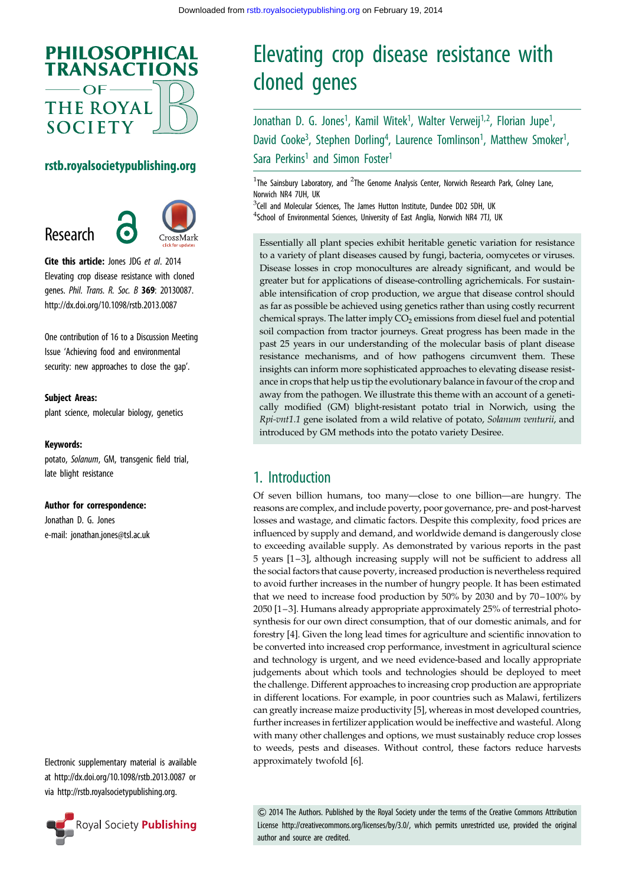

### rstb.royalsocietypublishing.org

# Research



Cite this article: Jones JDG et al. 2014 Elevating crop disease resistance with cloned genes. Phil. Trans. R. Soc. B 369: 20130087. http://dx.doi.org/10.1098/rstb.2013.0087

One contribution of 16 to a Discussion Meeting Issue 'Achieving food and environmental security: new approaches to close the gap'.

#### Subject Areas:

plant science, molecular biology, genetics

#### Keywords:

potato, Solanum, GM, transgenic field trial, late blight resistance

#### Author for correspondence:

Jonathan D. G. Jones e-mail: [jonathan.jones@tsl.ac.uk](mailto:jonathan.jones@tsl.ac.uk)

Electronic supplementary material is available at<http://dx.doi.org/10.1098/rstb.2013.0087> or via [http://rstb.royalsocietypublishing.org.](http://rstb.royalsocietypublishing.org)



# Elevating crop disease resistance with cloned genes

Jonathan D. G. Jones<sup>1</sup>, Kamil Witek<sup>1</sup>, Walter Verweij<sup>1,2</sup>, Florian Jupe<sup>1</sup> , David Cooke<sup>3</sup>, Stephen Dorling<sup>4</sup>, Laurence Tomlinson<sup>1</sup>, Matthew Smoker<sup>1</sup> , Sara Perkins<sup>1</sup> and Simon Foster<sup>1</sup>

 $<sup>1</sup>$ The Sainsbury Laboratory, and  $<sup>2</sup>$ The Genome Analysis Center, Norwich Research Park, Colney Lane,</sup></sup> Norwich NR4 7UH, UK

<sup>3</sup>Cell and Molecular Sciences, The James Hutton Institute, Dundee DD2 5DH, UK

<sup>4</sup>School of Environmental Sciences, University of East Anglia, Norwich NR4 7TJ, UK

Essentially all plant species exhibit heritable genetic variation for resistance to a variety of plant diseases caused by fungi, bacteria, oomycetes or viruses. Disease losses in crop monocultures are already significant, and would be greater but for applications of disease-controlling agrichemicals. For sustainable intensification of crop production, we argue that disease control should as far as possible be achieved using genetics rather than using costly recurrent chemical sprays. The latter imply  $CO<sub>2</sub>$  emissions from diesel fuel and potential soil compaction from tractor journeys. Great progress has been made in the past 25 years in our understanding of the molecular basis of plant disease resistance mechanisms, and of how pathogens circumvent them. These insights can inform more sophisticated approaches to elevating disease resistance in crops that help us tip the evolutionary balance in favour of the crop and away from the pathogen. We illustrate this theme with an account of a genetically modified (GM) blight-resistant potato trial in Norwich, using the Rpi-vnt1.1 gene isolated from a wild relative of potato, Solanum venturii, and introduced by GM methods into the potato variety Desiree.

## 1. Introduction

Of seven billion humans, too many—close to one billion—are hungry. The reasons are complex, and include poverty, poor governance, pre- and post-harvest losses and wastage, and climatic factors. Despite this complexity, food prices are influenced by supply and demand, and worldwide demand is dangerously close to exceeding available supply. As demonstrated by various reports in the past 5 years [[1](#page-7-0)–[3](#page-7-0)], although increasing supply will not be sufficient to address all the social factors that cause poverty, increased production is nevertheless required to avoid further increases in the number of hungry people. It has been estimated that we need to increase food production by 50% by 2030 and by 70–100% by 2050 [[1](#page-7-0)–[3\]](#page-7-0). Humans already appropriate approximately 25% of terrestrial photosynthesis for our own direct consumption, that of our domestic animals, and for forestry [[4](#page-7-0)]. Given the long lead times for agriculture and scientific innovation to be converted into increased crop performance, investment in agricultural science and technology is urgent, and we need evidence-based and locally appropriate judgements about which tools and technologies should be deployed to meet the challenge. Different approaches to increasing crop production are appropriate in different locations. For example, in poor countries such as Malawi, fertilizers can greatly increase maize productivity [\[5\]](#page-7-0), whereas in most developed countries, further increases in fertilizer application would be ineffective and wasteful. Along with many other challenges and options, we must sustainably reduce crop losses to weeds, pests and diseases. Without control, these factors reduce harvests approximately twofold [\[6\]](#page-7-0).

& 2014 The Authors. Published by the Royal Society under the terms of the Creative Commons Attribution License http://creativecommons.org/licenses/by/3.0/, which permits unrestricted use, provided the original author and source are credited.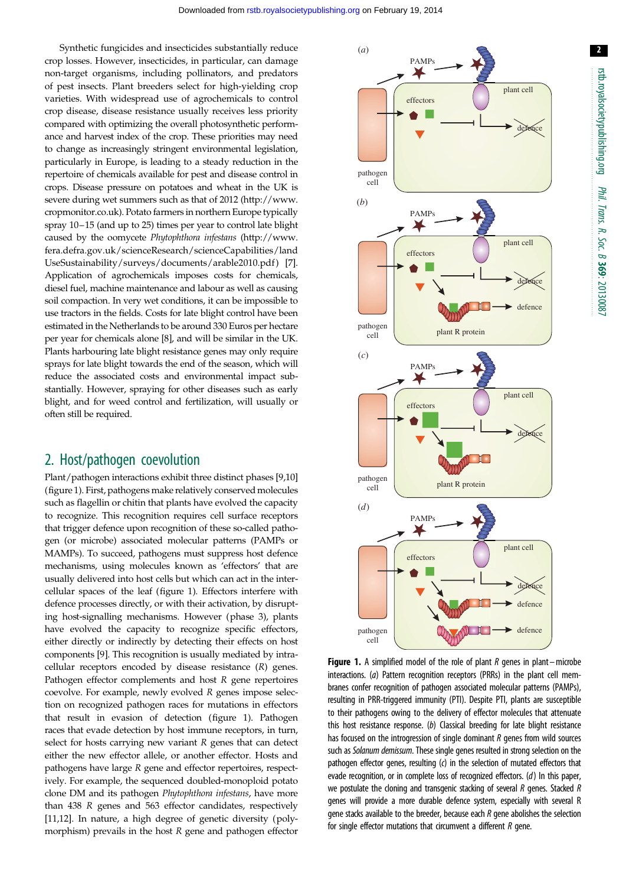Synthetic fungicides and insecticides substantially reduce crop losses. However, insecticides, in particular, can damage non-target organisms, including pollinators, and predators of pest insects. Plant breeders select for high-yielding crop varieties. With widespread use of agrochemicals to control crop disease, disease resistance usually receives less priority compared with optimizing the overall photosynthetic performance and harvest index of the crop. These priorities may need to change as increasingly stringent environmental legislation, particularly in Europe, is leading to a steady reduction in the repertoire of chemicals available for pest and disease control in crops. Disease pressure on potatoes and wheat in the UK is severe during wet summers such as that of 2012 ([http://www.](http://www.cropmonitor.co.uk) [cropmonitor.co.uk](http://www.cropmonitor.co.uk)). Potato farmers in northern Europe typically spray 10–15 (and up to 25) times per year to control late blight caused by the oomycete Phytophthora infestans ([http://www.](http://www.fera.defra.gov.uk/scienceResearch/scienceCapabilities/landUseSustainability/surveys/documents/arable2010.pdf) [fera.defra.gov.uk/scienceResearch/scienceCapabilities/land](http://www.fera.defra.gov.uk/scienceResearch/scienceCapabilities/landUseSustainability/surveys/documents/arable2010.pdf) [UseSustainability/surveys/documents/arable2010.pdf](http://www.fera.defra.gov.uk/scienceResearch/scienceCapabilities/landUseSustainability/surveys/documents/arable2010.pdf)) [\[7](#page-7-0)]. Application of agrochemicals imposes costs for chemicals, diesel fuel, machine maintenance and labour as well as causing soil compaction. In very wet conditions, it can be impossible to use tractors in the fields. Costs for late blight control have been estimated in the Netherlands to be around 330 Euros per hectare per year for chemicals alone [\[8\]](#page-7-0), and will be similar in the UK. Plants harbouring late blight resistance genes may only require sprays for late blight towards the end of the season, which will reduce the associated costs and environmental impact substantially. However, spraying for other diseases such as early blight, and for weed control and fertilization, will usually or often still be required.

# 2. Host/pathogen coevolution

Plant/pathogen interactions exhibit three distinct phases [\[9,10\]](#page-7-0) (figure 1). First, pathogens make relatively conserved molecules such as flagellin or chitin that plants have evolved the capacity to recognize. This recognition requires cell surface receptors that trigger defence upon recognition of these so-called pathogen (or microbe) associated molecular patterns (PAMPs or MAMPs). To succeed, pathogens must suppress host defence mechanisms, using molecules known as 'effectors' that are usually delivered into host cells but which can act in the intercellular spaces of the leaf (figure 1). Effectors interfere with defence processes directly, or with their activation, by disrupting host-signalling mechanisms. However (phase 3), plants have evolved the capacity to recognize specific effectors, either directly or indirectly by detecting their effects on host components [\[9\]](#page-7-0). This recognition is usually mediated by intracellular receptors encoded by disease resistance (R) genes. Pathogen effector complements and host R gene repertoires coevolve. For example, newly evolved R genes impose selection on recognized pathogen races for mutations in effectors that result in evasion of detection (figure 1). Pathogen races that evade detection by host immune receptors, in turn, select for hosts carrying new variant R genes that can detect either the new effector allele, or another effector. Hosts and pathogens have large R gene and effector repertoires, respectively. For example, the sequenced doubled-monoploid potato clone DM and its pathogen Phytophthora infestans, have more than 438 R genes and 563 effector candidates, respectively [\[11,12](#page-7-0)]. In nature, a high degree of genetic diversity (polymorphism) prevails in the host  $R$  gene and pathogen effector



Figure 1. A simplified model of the role of plant  $R$  genes in plant–microbe interactions. (a) Pattern recognition receptors (PRRs) in the plant cell membranes confer recognition of pathogen associated molecular patterns (PAMPs), resulting in PRR-triggered immunity (PTI). Despite PTI, plants are susceptible to their pathogens owing to the delivery of effector molecules that attenuate this host resistance response. (b) Classical breeding for late blight resistance has focused on the introgression of single dominant R genes from wild sources such as Solanum demissum. These single genes resulted in strong selection on the pathogen effector genes, resulting (c) in the selection of mutated effectors that evade recognition, or in complete loss of recognized effectors. (d) In this paper, we postulate the cloning and transgenic stacking of several  $R$  genes. Stacked  $R$ genes will provide a more durable defence system, especially with several R gene stacks available to the breeder, because each  $R$  gene abolishes the selection for single effector mutations that circumvent a different  $R$  gene.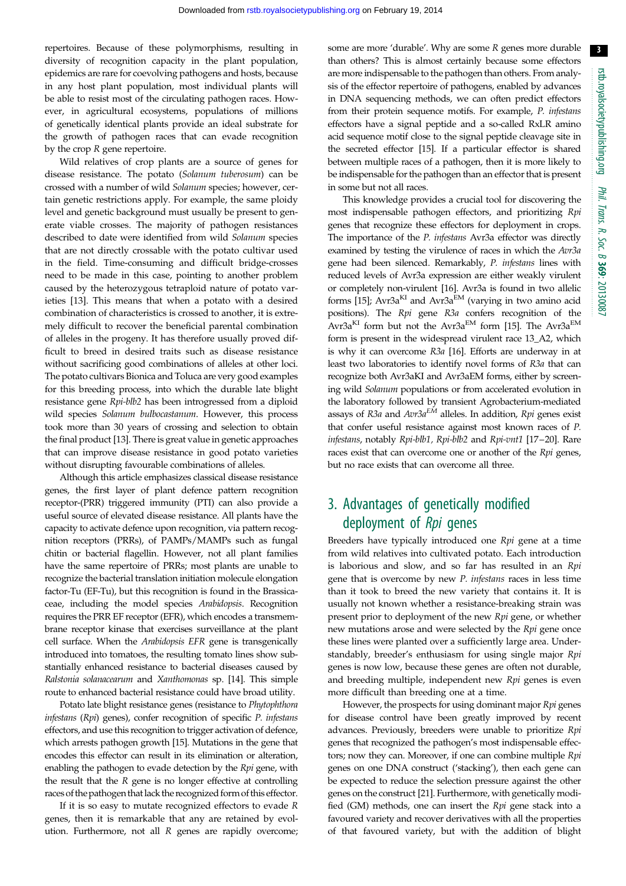3

repertoires. Because of these polymorphisms, resulting in diversity of recognition capacity in the plant population, epidemics are rare for coevolving pathogens and hosts, because in any host plant population, most individual plants will be able to resist most of the circulating pathogen races. However, in agricultural ecosystems, populations of millions of genetically identical plants provide an ideal substrate for the growth of pathogen races that can evade recognition by the crop R gene repertoire.

Wild relatives of crop plants are a source of genes for disease resistance. The potato (Solanum tuberosum) can be crossed with a number of wild Solanum species; however, certain genetic restrictions apply. For example, the same ploidy level and genetic background must usually be present to generate viable crosses. The majority of pathogen resistances described to date were identified from wild Solanum species that are not directly crossable with the potato cultivar used in the field. Time-consuming and difficult bridge-crosses need to be made in this case, pointing to another problem caused by the heterozygous tetraploid nature of potato varieties [[13\]](#page-7-0). This means that when a potato with a desired combination of characteristics is crossed to another, it is extremely difficult to recover the beneficial parental combination of alleles in the progeny. It has therefore usually proved difficult to breed in desired traits such as disease resistance without sacrificing good combinations of alleles at other loci. The potato cultivars Bionica and Toluca are very good examples for this breeding process, into which the durable late blight resistance gene Rpi-blb2 has been introgressed from a diploid wild species Solanum bulbocastanum. However, this process took more than 30 years of crossing and selection to obtain the final product [[13](#page-7-0)]. There is great value in genetic approaches that can improve disease resistance in good potato varieties without disrupting favourable combinations of alleles.

Although this article emphasizes classical disease resistance genes, the first layer of plant defence pattern recognition receptor-(PRR) triggered immunity (PTI) can also provide a useful source of elevated disease resistance. All plants have the capacity to activate defence upon recognition, via pattern recognition receptors (PRRs), of PAMPs/MAMPs such as fungal chitin or bacterial flagellin. However, not all plant families have the same repertoire of PRRs; most plants are unable to recognize the bacterial translation initiation molecule elongation factor-Tu (EF-Tu), but this recognition is found in the Brassicaceae, including the model species Arabidopsis. Recognition requires the PRR EF receptor (EFR), which encodes a transmembrane receptor kinase that exercises surveillance at the plant cell surface. When the Arabidopsis EFR gene is transgenically introduced into tomatoes, the resulting tomato lines show substantially enhanced resistance to bacterial diseases caused by Ralstonia solanacearum and Xanthomonas sp. [[14](#page-7-0)]. This simple route to enhanced bacterial resistance could have broad utility.

Potato late blight resistance genes (resistance to Phytophthora infestans (Rpi) genes), confer recognition of specific P. infestans effectors, and use this recognition to trigger activation of defence, which arrests pathogen growth [[15](#page-7-0)]. Mutations in the gene that encodes this effector can result in its elimination or alteration, enabling the pathogen to evade detection by the Rpi gene, with the result that the R gene is no longer effective at controlling races of the pathogen that lack the recognized form of this effector.

If it is so easy to mutate recognized effectors to evade R genes, then it is remarkable that any are retained by evolution. Furthermore, not all R genes are rapidly overcome; some are more 'durable'. Why are some R genes more durable than others? This is almost certainly because some effectors are more indispensable to the pathogen than others. From analysis of the effector repertoire of pathogens, enabled by advances in DNA sequencing methods, we can often predict effectors from their protein sequence motifs. For example, P. infestans effectors have a signal peptide and a so-called RxLR amino acid sequence motif close to the signal peptide cleavage site in the secreted effector [\[15\]](#page-7-0). If a particular effector is shared between multiple races of a pathogen, then it is more likely to be indispensable for the pathogen than an effector that is present in some but not all races.

This knowledge provides a crucial tool for discovering the most indispensable pathogen effectors, and prioritizing Rpi genes that recognize these effectors for deployment in crops. The importance of the *P. infestans* Avr3a effector was directly examined by testing the virulence of races in which the Avr3a gene had been silenced. Remarkably, P. infestans lines with reduced levels of Avr3a expression are either weakly virulent or completely non-virulent [[16](#page-7-0)]. Avr3a is found in two allelic forms [\[15\]](#page-7-0); Avr3a<sup>KI</sup> and Avr3a<sup>EM</sup> (varying in two amino acid positions). The Rpi gene R3a confers recognition of the Avr3a<sup>KI</sup> form but not the Avr3a<sup>EM</sup> form [[15](#page-7-0)]. The Avr3a<sup>EM</sup> form is present in the widespread virulent race 13\_A2, which is why it can overcome R3a [[16](#page-7-0)]. Efforts are underway in at least two laboratories to identify novel forms of R3a that can recognize both Avr3aKI and Avr3aEM forms, either by screening wild Solanum populations or from accelerated evolution in the laboratory followed by transient Agrobacterium-mediated assays of R3a and  $Av$  alleles. In addition, Rpi genes exist that confer useful resistance against most known races of P. infestans, notably Rpi-blb1, Rpi-blb2 and Rpi-vnt1 [\[17](#page-7-0)–[20](#page-7-0)]. Rare races exist that can overcome one or another of the Rpi genes, but no race exists that can overcome all three.

# 3. Advantages of genetically modified deployment of Rpi genes

Breeders have typically introduced one Rpi gene at a time from wild relatives into cultivated potato. Each introduction is laborious and slow, and so far has resulted in an Rpi gene that is overcome by new P. infestans races in less time than it took to breed the new variety that contains it. It is usually not known whether a resistance-breaking strain was present prior to deployment of the new Rpi gene, or whether new mutations arose and were selected by the Rpi gene once these lines were planted over a sufficiently large area. Understandably, breeder's enthusiasm for using single major Rpi genes is now low, because these genes are often not durable, and breeding multiple, independent new Rpi genes is even more difficult than breeding one at a time.

However, the prospects for using dominant major Rpi genes for disease control have been greatly improved by recent advances. Previously, breeders were unable to prioritize Rpi genes that recognized the pathogen's most indispensable effectors; now they can. Moreover, if one can combine multiple Rpi genes on one DNA construct ('stacking'), then each gene can be expected to reduce the selection pressure against the other genes on the construct [\[21\]](#page-7-0). Furthermore, with genetically modified (GM) methods, one can insert the Rpi gene stack into a favoured variety and recover derivatives with all the properties of that favoured variety, but with the addition of blight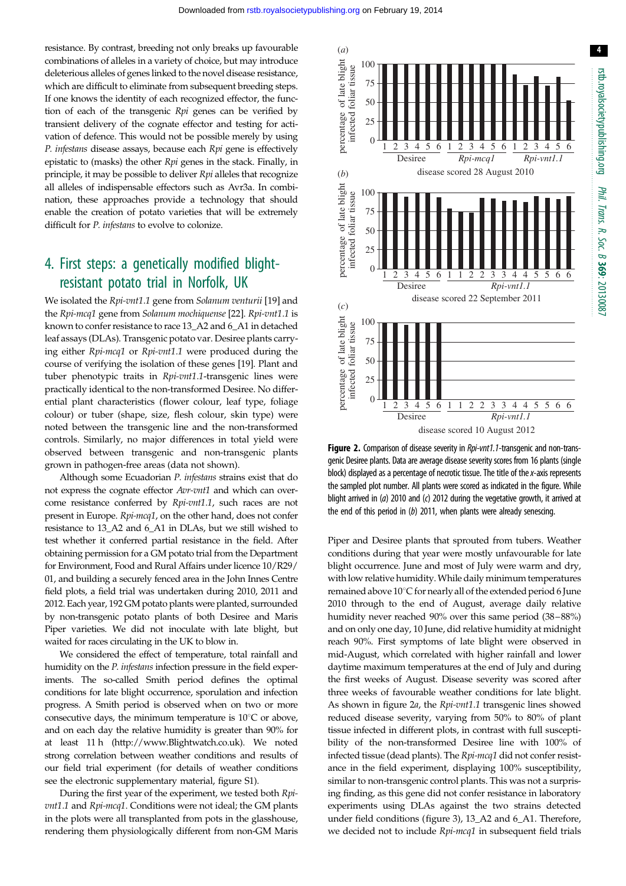$\mathbf{0}$ 25

50 75 100

(*a*)

<span id="page-4-0"></span>resistance. By contrast, breeding not only breaks up favourable combinations of alleles in a variety of choice, but may introduce deleterious alleles of genes linked to the novel disease resistance, which are difficult to eliminate from subsequent breeding steps. If one knows the identity of each recognized effector, the function of each of the transgenic Rpi genes can be verified by transient delivery of the cognate effector and testing for activation of defence. This would not be possible merely by using P. infestans disease assays, because each Rpi gene is effectively epistatic to (masks) the other Rpi genes in the stack. Finally, in principle, it may be possible to deliver Rpi alleles that recognize all alleles of indispensable effectors such as Avr3a. In combination, these approaches provide a technology that should enable the creation of potato varieties that will be extremely difficult for P. infestans to evolve to colonize.

# 4. First steps: a genetically modified blightresistant potato trial in Norfolk, UK

We isolated the Rpi-vnt1.1 gene from Solanum venturii [[19](#page-7-0)] and the Rpi-mcq1 gene from Solanum mochiquense [[22\]](#page-7-0). Rpi-vnt1.1 is known to confer resistance to race 13\_A2 and 6\_A1 in detached leaf assays (DLAs). Transgenic potato var. Desiree plants carrying either Rpi-mcq1 or Rpi-vnt1.1 were produced during the course of verifying the isolation of these genes [\[19](#page-7-0)]. Plant and tuber phenotypic traits in Rpi-vnt1.1-transgenic lines were practically identical to the non-transformed Desiree. No differential plant characteristics (flower colour, leaf type, foliage colour) or tuber (shape, size, flesh colour, skin type) were noted between the transgenic line and the non-transformed controls. Similarly, no major differences in total yield were observed between transgenic and non-transgenic plants grown in pathogen-free areas (data not shown).

Although some Ecuadorian P. infestans strains exist that do not express the cognate effector Avr-vnt1 and which can overcome resistance conferred by Rpi-vnt1.1, such races are not present in Europe. Rpi-mcq1, on the other hand, does not confer resistance to 13\_A2 and 6\_A1 in DLAs, but we still wished to test whether it conferred partial resistance in the field. After obtaining permission for a GM potato trial from the Department for Environment, Food and Rural Affairs under licence 10/R29/ 01, and building a securely fenced area in the John Innes Centre field plots, a field trial was undertaken during 2010, 2011 and 2012. Each year, 192 GM potato plants were planted, surrounded by non-transgenic potato plants of both Desiree and Maris Piper varieties. We did not inoculate with late blight, but waited for races circulating in the UK to blow in.

We considered the effect of temperature, total rainfall and humidity on the P. infestans infection pressure in the field experiments. The so-called Smith period defines the optimal conditions for late blight occurrence, sporulation and infection progress. A Smith period is observed when on two or more consecutive days, the minimum temperature is  $10^{\circ}$ C or above, and on each day the relative humidity is greater than 90% for at least 11 h [\(http://www.Blightwatch.co.uk](http://www.Blightwatch.co.uk)). We noted strong correlation between weather conditions and results of our field trial experiment (for details of weather conditions see the electronic supplementary material, figure S1).

During the first year of the experiment, we tested both Rpivnt1.1 and Rpi-mcq1. Conditions were not ideal; the GM plants in the plots were all transplanted from pots in the glasshouse, rendering them physiologically different from non-GM Maris



12345 6 1234 5 6 1234 5 6

Desiree *Rpi-mcq1 Rpi-vnt1.1*

disease scored 28 August 2010

genic Desiree plants. Data are average disease severity scores from 16 plants (single block) displayed as a percentage of necrotic tissue. The title of the x-axis represents the sampled plot number. All plants were scored as indicated in the figure. While blight arrived in  $(a)$  2010 and  $(c)$  2012 during the vegetative growth, it arrived at the end of this period in  $(b)$  2011, when plants were already senescing.

Piper and Desiree plants that sprouted from tubers. Weather conditions during that year were mostly unfavourable for late blight occurrence. June and most of July were warm and dry, with low relative humidity.While daily minimum temperatures remained above 10°C for nearly all of the extended period 6 June 2010 through to the end of August, average daily relative humidity never reached 90% over this same period (38–88%) and on only one day, 10 June, did relative humidity at midnight reach 90%. First symptoms of late blight were observed in mid-August, which correlated with higher rainfall and lower daytime maximum temperatures at the end of July and during the first weeks of August. Disease severity was scored after three weeks of favourable weather conditions for late blight. As shown in figure 2a, the Rpi-vnt1.1 transgenic lines showed reduced disease severity, varying from 50% to 80% of plant tissue infected in different plots, in contrast with full susceptibility of the non-transformed Desiree line with 100% of infected tissue (dead plants). The Rpi-mcq1 did not confer resistance in the field experiment, displaying 100% susceptibility, similar to non-transgenic control plants. This was not a surprising finding, as this gene did not confer resistance in laboratory experiments using DLAs against the two strains detected under field conditions [\(figure 3](#page-5-0)), 13\_A2 and 6\_A1. Therefore, We have a subsequent field of late blight infected not the infected infected in subsequent field of late blight infected of late blight infected for late blight infected for late blight infected for late blight infection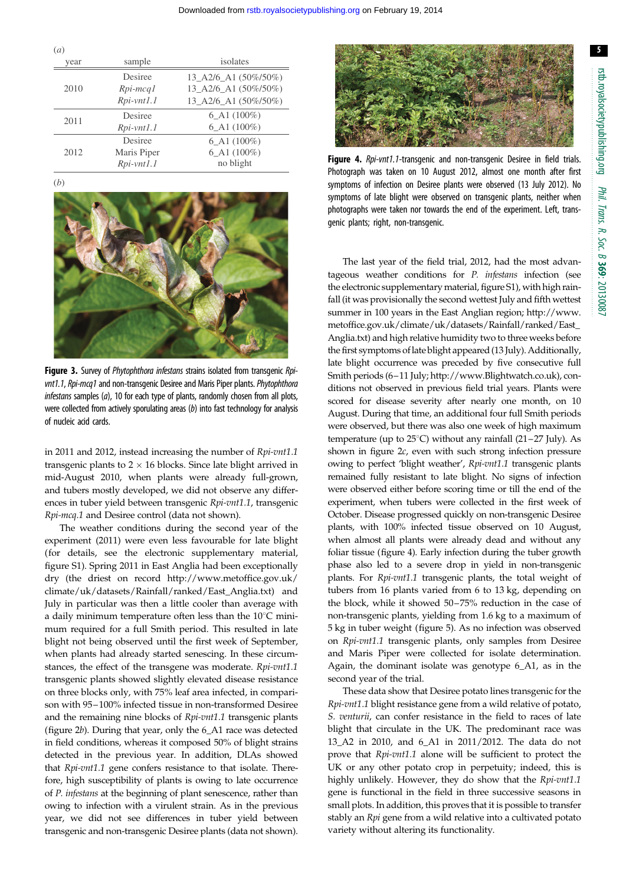<span id="page-5-0"></span>

| (a)  |                   |                          |  |
|------|-------------------|--------------------------|--|
| year | sample            | isolates                 |  |
| 2010 | Desiree           | 13_A2/6_A1 $(50\%/50\%)$ |  |
|      | $Rpi$ - $mcq$ $l$ | 13 A2/6 A1 (50%/50%)     |  |
|      | Rpi-vnt1.1        | 13 A2/6 A1 (50%/50%)     |  |
| 2011 | Desiree           | 6 A1 $(100\%)$           |  |
|      | $Rpi$ -vnt $1.1$  | 6_A1 $(100\%)$           |  |
| 2012 | Desiree           | 6 A1 $(100\%)$           |  |
|      | Maris Piper       | $6_A1(100\%)$            |  |
|      | Rpi-vnt1.1        | no blight                |  |

(*b*)



Figure 3. Survey of Phytophthora infestans strains isolated from transgenic Rpivnt1.1, Rpi-mcq1 and non-transgenic Desiree and Maris Piper plants. Phytophthora  $infestans$  samples  $(a)$ , 10 for each type of plants, randomly chosen from all plots, were collected from actively sporulating areas  $(b)$  into fast technology for analysis of nucleic acid cards.

in 2011 and 2012, instead increasing the number of Rpi-vnt1.1 transgenic plants to 2  $\times$  16 blocks. Since late blight arrived in mid-August 2010, when plants were already full-grown, and tubers mostly developed, we did not observe any differences in tuber yield between transgenic Rpi-vnt1.1, transgenic Rpi-mcq.1 and Desiree control (data not shown).

The weather conditions during the second year of the experiment (2011) were even less favourable for late blight (for details, see the electronic supplementary material, figure S1). Spring 2011 in East Anglia had been exceptionally dry (the driest on record [http://www.metoffice.gov.uk/](http://www.metoffice.gov.uk/climate/uk/datasets/Rainfall/ranked/East_Anglia.txt) [climate/uk/datasets/Rainfall/ranked/East\\_Anglia.txt](http://www.metoffice.gov.uk/climate/uk/datasets/Rainfall/ranked/East_Anglia.txt)) and July in particular was then a little cooler than average with a daily minimum temperature often less than the  $10^{\circ}$ C minimum required for a full Smith period. This resulted in late blight not being observed until the first week of September, when plants had already started senescing. In these circumstances, the effect of the transgene was moderate. Rpi-vnt1.1 transgenic plants showed slightly elevated disease resistance on three blocks only, with 75% leaf area infected, in comparison with 95–100% infected tissue in non-transformed Desiree and the remaining nine blocks of Rpi-vnt1.1 transgenic plants [\(figure 2](#page-4-0)b). During that year, only the 6\_A1 race was detected in field conditions, whereas it composed 50% of blight strains detected in the previous year. In addition, DLAs showed that Rpi-vnt1.1 gene confers resistance to that isolate. Therefore, high susceptibility of plants is owing to late occurrence of P. infestans at the beginning of plant senescence, rather than owing to infection with a virulent strain. As in the previous year, we did not see differences in tuber yield between transgenic and non-transgenic Desiree plants (data not shown).



Figure 4. Rpi-vnt1.1-transgenic and non-transgenic Desiree in field trials. Photograph was taken on 10 August 2012, almost one month after first symptoms of infection on Desiree plants were observed (13 July 2012). No symptoms of late blight were observed on transgenic plants, neither when photographs were taken nor towards the end of the experiment. Left, transgenic plants; right, non-transgenic.

The last year of the field trial, 2012, had the most advantageous weather conditions for P. infestans infection (see the electronic supplementary material, figure S1), with high rainfall (it was provisionally the second wettest July and fifth wettest summer in 100 years in the East Anglian region; [http://www.](http://www.metoffice.gov.uk/climate/uk/datasets/Rainfall/ranked/East_Anglia.txt) [metoffice.gov.uk/climate/uk/datasets/Rainfall/ranked/East\\_](http://www.metoffice.gov.uk/climate/uk/datasets/Rainfall/ranked/East_Anglia.txt) [Anglia.txt\)](http://www.metoffice.gov.uk/climate/uk/datasets/Rainfall/ranked/East_Anglia.txt) and high relative humidity two to three weeks before the first symptoms of late blight appeared (13 July). Additionally, late blight occurrence was preceded by five consecutive full Smith periods (6–11 July; [http://www.Blightwatch.co.uk\)](http://www.Blightwatch.co.uk), conditions not observed in previous field trial years. Plants were scored for disease severity after nearly one month, on 10 August. During that time, an additional four full Smith periods were observed, but there was also one week of high maximum temperature (up to  $25^{\circ}$ C) without any rainfall (21–27 July). As shown in [figure 2](#page-4-0)c, even with such strong infection pressure owing to perfect 'blight weather', Rpi-vnt1.1 transgenic plants remained fully resistant to late blight. No signs of infection were observed either before scoring time or till the end of the experiment, when tubers were collected in the first week of October. Disease progressed quickly on non-transgenic Desiree plants, with 100% infected tissue observed on 10 August, when almost all plants were already dead and without any foliar tissue (figure 4). Early infection during the tuber growth phase also led to a severe drop in yield in non-transgenic plants. For Rpi-vnt1.1 transgenic plants, the total weight of tubers from 16 plants varied from 6 to 13 kg, depending on the block, while it showed 50–75% reduction in the case of non-transgenic plants, yielding from 1.6 kg to a maximum of 5 kg in tuber weight ([figure 5\)](#page-6-0). As no infection was observed on Rpi-vnt1.1 transgenic plants, only samples from Desiree and Maris Piper were collected for isolate determination. Again, the dominant isolate was genotype 6\_A1, as in the second year of the trial.

These data show that Desiree potato lines transgenic for the Rpi-vnt1.1 blight resistance gene from a wild relative of potato, S. venturii, can confer resistance in the field to races of late blight that circulate in the UK. The predominant race was 13\_A2 in 2010, and 6\_A1 in 2011/2012. The data do not prove that Rpi-vnt1.1 alone will be sufficient to protect the UK or any other potato crop in perpetuity; indeed, this is highly unlikely. However, they do show that the Rpi-vnt1.1 gene is functional in the field in three successive seasons in small plots. In addition, this proves that it is possible to transfer stably an Rpi gene from a wild relative into a cultivated potato variety without altering its functionality.

5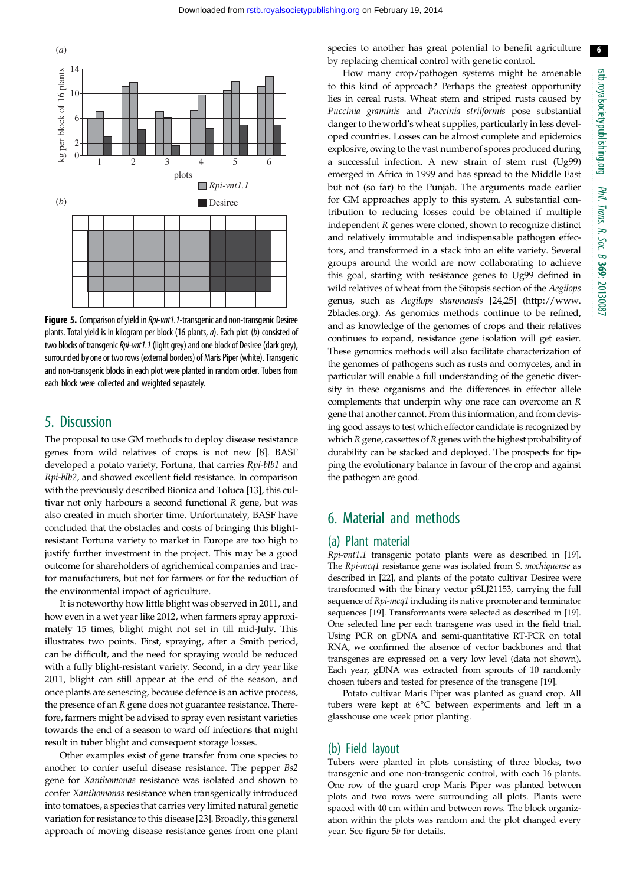<span id="page-6-0"></span>

Figure 5. Comparison of yield in Rpi-vnt1.1-transgenic and non-transgenic Desiree plants. Total yield is in kilogram per block (16 plants, a). Each plot (b) consisted of two blocks of transgenic Rpi-vnt1.1 (light grey) and one block of Desiree (dark grey), surrounded by one or two rows (external borders) of Maris Piper (white). Transgenic and non-transgenic blocks in each plot were planted in random order. Tubers from each block were collected and weighted separately.

# 5. Discussion

The proposal to use GM methods to deploy disease resistance genes from wild relatives of crops is not new [[8](#page-7-0)]. BASF developed a potato variety, Fortuna, that carries Rpi-blb1 and Rpi-blb2, and showed excellent field resistance. In comparison with the previously described Bionica and Toluca [\[13](#page-7-0)], this cultivar not only harbours a second functional R gene, but was also created in much shorter time. Unfortunately, BASF have concluded that the obstacles and costs of bringing this blightresistant Fortuna variety to market in Europe are too high to justify further investment in the project. This may be a good outcome for shareholders of agrichemical companies and tractor manufacturers, but not for farmers or for the reduction of the environmental impact of agriculture.

It is noteworthy how little blight was observed in 2011, and how even in a wet year like 2012, when farmers spray approximately 15 times, blight might not set in till mid-July. This illustrates two points. First, spraying, after a Smith period, can be difficult, and the need for spraying would be reduced with a fully blight-resistant variety. Second, in a dry year like 2011, blight can still appear at the end of the season, and once plants are senescing, because defence is an active process, the presence of an R gene does not guarantee resistance. Therefore, farmers might be advised to spray even resistant varieties towards the end of a season to ward off infections that might result in tuber blight and consequent storage losses.

Other examples exist of gene transfer from one species to another to confer useful disease resistance. The pepper Bs2 gene for Xanthomonas resistance was isolated and shown to confer Xanthomonas resistance when transgenically introduced into tomatoes, a species that carries very limited natural genetic variation for resistance to this disease [\[23](#page-7-0)]. Broadly, this general approach of moving disease resistance genes from one plant species to another has great potential to benefit agriculture by replacing chemical control with genetic control.

How many crop/pathogen systems might be amenable to this kind of approach? Perhaps the greatest opportunity lies in cereal rusts. Wheat stem and striped rusts caused by Puccinia graminis and Puccinia striiformis pose substantial danger to the world's wheat supplies, particularly in less developed countries. Losses can be almost complete and epidemics explosive, owing to the vast number of spores produced during a successful infection. A new strain of stem rust (Ug99) emerged in Africa in 1999 and has spread to the Middle East but not (so far) to the Punjab. The arguments made earlier for GM approaches apply to this system. A substantial contribution to reducing losses could be obtained if multiple independent R genes were cloned, shown to recognize distinct and relatively immutable and indispensable pathogen effectors, and transformed in a stack into an elite variety. Several groups around the world are now collaborating to achieve this goal, starting with resistance genes to Ug99 defined in wild relatives of wheat from the Sitopsis section of the Aegilops genus, such as Aegilops sharonensis [\[24](#page-7-0),[25](#page-7-0)] [\(http://www.](http://www.2blades.org) [2blades.org\)](http://www.2blades.org). As genomics methods continue to be refined, and as knowledge of the genomes of crops and their relatives continues to expand, resistance gene isolation will get easier. These genomics methods will also facilitate characterization of the genomes of pathogens such as rusts and oomycetes, and in particular will enable a full understanding of the genetic diversity in these organisms and the differences in effector allele complements that underpin why one race can overcome an R gene that another cannot. From this information, and from devising good assays to test which effector candidate is recognized by which  $R$  gene, cassettes of  $R$  genes with the highest probability of durability can be stacked and deployed. The prospects for tipping the evolutionary balance in favour of the crop and against the pathogen are good.

## 6. Material and methods

### (a) Plant material

Rpi-vnt1.1 transgenic potato plants were as described in [\[19\]](#page-7-0). The Rpi-mcq1 resistance gene was isolated from S. mochiquense as described in [\[22\]](#page-7-0), and plants of the potato cultivar Desiree were transformed with the binary vector pSLJ21153, carrying the full sequence of Rpi-mcq1 including its native promoter and terminator sequences [\[19\]](#page-7-0). Transformants were selected as described in [\[19](#page-7-0)]. One selected line per each transgene was used in the field trial. Using PCR on gDNA and semi-quantitative RT-PCR on total RNA, we confirmed the absence of vector backbones and that transgenes are expressed on a very low level (data not shown). Each year, gDNA was extracted from sprouts of 10 randomly chosen tubers and tested for presence of the transgene [[19](#page-7-0)].

Potato cultivar Maris Piper was planted as guard crop. All tubers were kept at 6°C between experiments and left in a glasshouse one week prior planting.

### (b) Field layout

Tubers were planted in plots consisting of three blocks, two transgenic and one non-transgenic control, with each 16 plants. One row of the guard crop Maris Piper was planted between plots and two rows were surrounding all plots. Plants were spaced with 40 cm within and between rows. The block organization within the plots was random and the plot changed every year. See figure 5b for details.